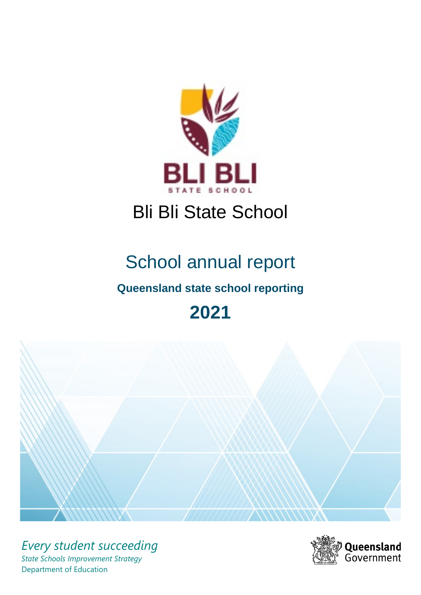

# Bli Bli State School

# School annual report

# **Queensland state school reporting**

# **2021**



*Every student succeeding State Schools Improvement Strategy* Department of Education

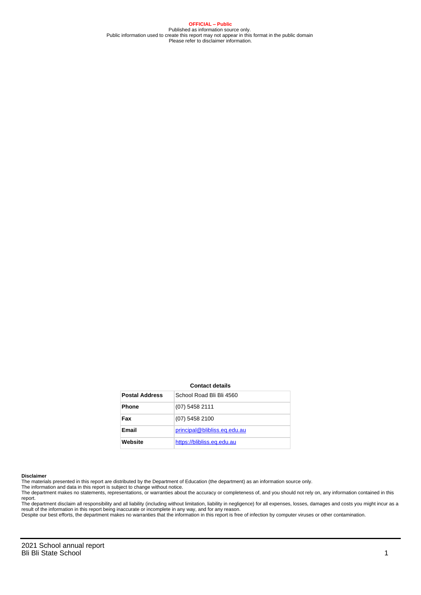**OFFICIAL – Public** Published as information source only. Public information used to create this report may not appear in this format in the public domain Please refer to disclaimer information.

#### **Contact details**

| <b>Postal Address</b> | School Road Bli Bli 4560     |
|-----------------------|------------------------------|
| <b>Phone</b>          | (07) 5458 2111               |
| Fax                   | (07) 5458 2100               |
| Email                 | principal@blibliss.eq.edu.au |
| Website               | https://blibliss.eq.edu.au   |

#### **Disclaimer**

The materials presented in this report are distributed by the Department of Education (the department) as an information source only.

The information and data in this report is subject to change without notice.<br>The department makes no statements, representations, or warranties about the accuracy or completeness of, and you should not rely on, any informa report.

The department disclaim all responsibility and all liability (including without limitation, liability in negligence) for all expenses, losses, damages and costs you might incur as a result of the information in this report being inaccurate or incomplete in any way, and for any reason.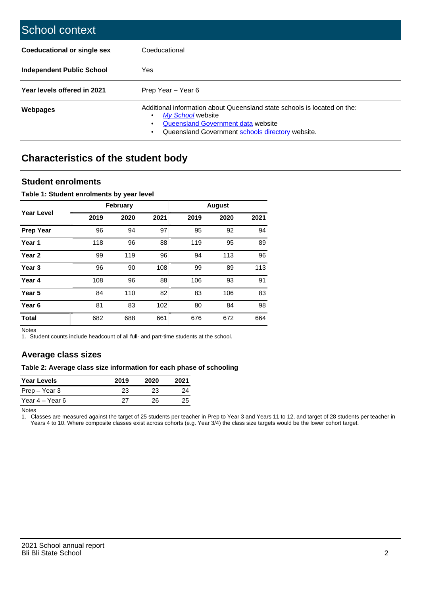| School context                   |                                                                                                                                                                                              |
|----------------------------------|----------------------------------------------------------------------------------------------------------------------------------------------------------------------------------------------|
| Coeducational or single sex      | Coeducational                                                                                                                                                                                |
| <b>Independent Public School</b> | Yes                                                                                                                                                                                          |
| Year levels offered in 2021      | Prep Year - Year 6                                                                                                                                                                           |
| Webpages                         | Additional information about Queensland state schools is located on the:<br>My School website<br>Queensland Government data website<br>Queensland Government schools directory website.<br>٠ |

# **Characteristics of the student body**

### **Student enrolments**

#### **Table 1: Student enrolments by year level**

|                   |      | <b>February</b> |      |      | <b>August</b> |      |
|-------------------|------|-----------------|------|------|---------------|------|
| <b>Year Level</b> | 2019 | 2020            | 2021 | 2019 | 2020          | 2021 |
| <b>Prep Year</b>  | 96   | 94              | 97   | 95   | 92            | 94   |
| Year 1            | 118  | 96              | 88   | 119  | 95            | 89   |
| Year <sub>2</sub> | 99   | 119             | 96   | 94   | 113           | 96   |
| Year <sub>3</sub> | 96   | 90              | 108  | 99   | 89            | 113  |
| Year 4            | 108  | 96              | 88   | 106  | 93            | 91   |
| Year <sub>5</sub> | 84   | 110             | 82   | 83   | 106           | 83   |
| Year <sub>6</sub> | 81   | 83              | 102  | 80   | 84            | 98   |
| <b>Total</b>      | 682  | 688             | 661  | 676  | 672           | 664  |

Notes

1. Student counts include headcount of all full- and part-time students at the school.

## **Average class sizes**

#### **Table 2: Average class size information for each phase of schooling**

| <b>Year Levels</b> | 2019 | 2020 | 2021 |
|--------------------|------|------|------|
| Prep – Year 3      | 23   | 23   | 24   |
| Year 4 – Year 6    | 27   | 26.  | 25   |

Notes

1. Classes are measured against the target of 25 students per teacher in Prep to Year 3 and Years 11 to 12, and target of 28 students per teacher in Years 4 to 10. Where composite classes exist across cohorts (e.g. Year 3/4) the class size targets would be the lower cohort target.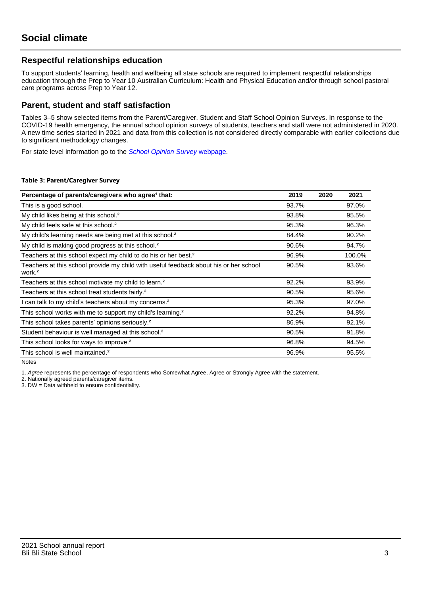## **Respectful relationships education**

To support students' learning, health and wellbeing all state schools are required to implement respectful relationships education through the Prep to Year 10 Australian Curriculum: Health and Physical Education and/or through school pastoral care programs across Prep to Year 12.

### **Parent, student and staff satisfaction**

Tables 3–5 show selected items from the Parent/Caregiver, Student and Staff School Opinion Surveys. In response to the COVID-19 health emergency, the annual school opinion surveys of students, teachers and staff were not administered in 2020. A new time series started in 2021 and data from this collection is not considered directly comparable with earlier collections due to significant methodology changes.

For state level information go to the **[School Opinion Survey](https://qed.qld.gov.au/publications/reports/statistics/schooling/schools/schoolopinionsurvey) webpage**.

#### **Table 3: Parent/Caregiver Survey**

| Percentage of parents/caregivers who agree <sup>1</sup> that:                                               | 2019  | 2020 | 2021   |
|-------------------------------------------------------------------------------------------------------------|-------|------|--------|
| This is a good school.                                                                                      | 93.7% |      | 97.0%  |
| My child likes being at this school. <sup>2</sup>                                                           | 93.8% |      | 95.5%  |
| My child feels safe at this school. <sup>2</sup>                                                            | 95.3% |      | 96.3%  |
| My child's learning needs are being met at this school. <sup>2</sup>                                        | 84.4% |      | 90.2%  |
| My child is making good progress at this school. <sup>2</sup>                                               | 90.6% |      | 94.7%  |
| Teachers at this school expect my child to do his or her best. <sup>2</sup>                                 | 96.9% |      | 100.0% |
| Teachers at this school provide my child with useful feedback about his or her school<br>work. <sup>2</sup> | 90.5% |      | 93.6%  |
| Teachers at this school motivate my child to learn. <sup>2</sup>                                            | 92.2% |      | 93.9%  |
| Teachers at this school treat students fairly. <sup>2</sup>                                                 | 90.5% |      | 95.6%  |
| can talk to my child's teachers about my concerns. <sup>2</sup>                                             | 95.3% |      | 97.0%  |
| This school works with me to support my child's learning. <sup>2</sup>                                      | 92.2% |      | 94.8%  |
| This school takes parents' opinions seriously. <sup>2</sup>                                                 | 86.9% |      | 92.1%  |
| Student behaviour is well managed at this school. <sup>2</sup>                                              | 90.5% |      | 91.8%  |
| This school looks for ways to improve. <sup>2</sup>                                                         | 96.8% |      | 94.5%  |
| This school is well maintained. <sup>2</sup>                                                                | 96.9% |      | 95.5%  |

Notes

1. Agree represents the percentage of respondents who Somewhat Agree, Agree or Strongly Agree with the statement.

2. Nationally agreed parents/caregiver items.

3. DW = Data withheld to ensure confidentiality.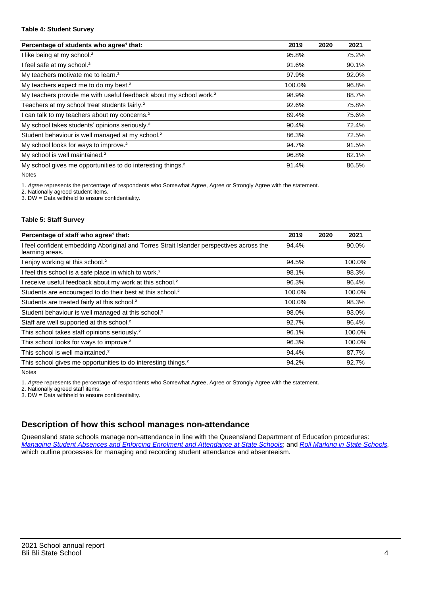#### **Table 4: Student Survey**

| Percentage of students who agree <sup>1</sup> that:                            | 2019   | 2020 | 2021  |
|--------------------------------------------------------------------------------|--------|------|-------|
| I like being at my school. <sup>2</sup>                                        | 95.8%  |      | 75.2% |
| I feel safe at my school. <sup>2</sup>                                         | 91.6%  |      | 90.1% |
| My teachers motivate me to learn. <sup>2</sup>                                 | 97.9%  |      | 92.0% |
| My teachers expect me to do my best. <sup>2</sup>                              | 100.0% |      | 96.8% |
| My teachers provide me with useful feedback about my school work. <sup>2</sup> | 98.9%  |      | 88.7% |
| Teachers at my school treat students fairly. <sup>2</sup>                      | 92.6%  |      | 75.8% |
| I can talk to my teachers about my concerns. <sup>2</sup>                      | 89.4%  |      | 75.6% |
| My school takes students' opinions seriously. <sup>2</sup>                     | 90.4%  |      | 72.4% |
| Student behaviour is well managed at my school. <sup>2</sup>                   | 86.3%  |      | 72.5% |
| My school looks for ways to improve. <sup>2</sup>                              | 94.7%  |      | 91.5% |
| My school is well maintained. <sup>2</sup>                                     | 96.8%  |      | 82.1% |
| My school gives me opportunities to do interesting things. <sup>2</sup>        | 91.4%  |      | 86.5% |

Notes

1. Agree represents the percentage of respondents who Somewhat Agree, Agree or Strongly Agree with the statement.

2. Nationally agreed student items.

3. DW = Data withheld to ensure confidentiality.

#### **Table 5: Staff Survey**

| Percentage of staff who agree <sup>1</sup> that:                                                            | 2019   | 2020 | 2021   |
|-------------------------------------------------------------------------------------------------------------|--------|------|--------|
| I feel confident embedding Aboriginal and Torres Strait Islander perspectives across the<br>learning areas. | 94.4%  |      | 90.0%  |
| I enjoy working at this school. <sup>2</sup>                                                                | 94.5%  |      | 100.0% |
| I feel this school is a safe place in which to work. <sup>2</sup>                                           | 98.1%  |      | 98.3%  |
| I receive useful feedback about my work at this school. <sup>2</sup>                                        | 96.3%  |      | 96.4%  |
| Students are encouraged to do their best at this school. <sup>2</sup>                                       | 100.0% |      | 100.0% |
| Students are treated fairly at this school. <sup>2</sup>                                                    | 100.0% |      | 98.3%  |
| Student behaviour is well managed at this school. <sup>2</sup>                                              | 98.0%  |      | 93.0%  |
| Staff are well supported at this school. <sup>2</sup>                                                       | 92.7%  |      | 96.4%  |
| This school takes staff opinions seriously. <sup>2</sup>                                                    | 96.1%  |      | 100.0% |
| This school looks for ways to improve. <sup>2</sup>                                                         | 96.3%  |      | 100.0% |
| This school is well maintained. <sup>2</sup>                                                                | 94.4%  |      | 87.7%  |
| This school gives me opportunities to do interesting things. <sup>2</sup>                                   | 94.2%  |      | 92.7%  |

Notes

1. Agree represents the percentage of respondents who Somewhat Agree, Agree or Strongly Agree with the statement.

2. Nationally agreed staff items.

3. DW = Data withheld to ensure confidentiality.

## **Description of how this school manages non-attendance**

Queensland state schools manage non-attendance in line with the Queensland Department of Education procedures: [Managing Student Absences and Enforcing Enrolment and Attendance at State Schools](https://ppr.qed.qld.gov.au/pp/managing-student-absences-and-enforcing-enrolment-and-attendance-at-state-schools-procedure); and [Roll Marking in State Schools,](https://ppr.qed.qld.gov.au/pp/roll-marking-in-state-schools-procedure) which outline processes for managing and recording student attendance and absenteeism.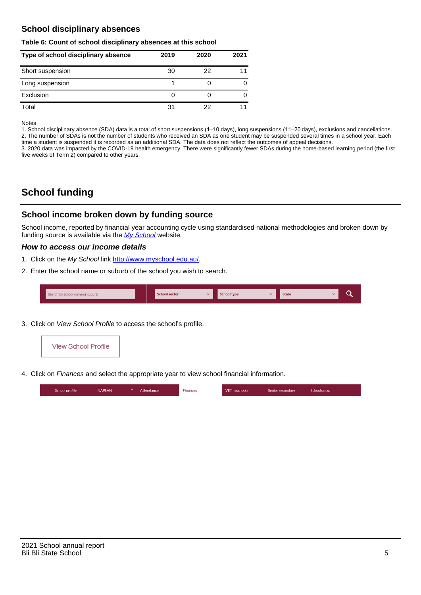## **School disciplinary absences**

#### **Table 6: Count of school disciplinary absences at this school**

| Type of school disciplinary absence | 2019 | 2020 | 2021 |
|-------------------------------------|------|------|------|
| Short suspension                    | 30   | 22   |      |
| Long suspension                     |      |      |      |
| Exclusion                           | 0    |      | O    |
| Total                               | 31   | 22   | 11   |

Notes

1. School disciplinary absence (SDA) data is a total of short suspensions (1–10 days), long suspensions (11–20 days), exclusions and cancellations. 2. The number of SDAs is not the number of students who received an SDA as one student may be suspended several times in a school year. Each time a student is suspended it is recorded as an additional SDA. The data does not reflect the outcomes of appeal decisions.

3. 2020 data was impacted by the COVID-19 health emergency. There were significantly fewer SDAs during the home-based learning period (the first five weeks of Term 2) compared to other years.

# **School funding**

## **School income broken down by funding source**

School income, reported by financial year accounting cycle using standardised national methodologies and broken down by funding source is available via the  $My$  School website.

#### **How to access our income details**

- 1. Click on the My School link <http://www.myschool.edu.au/>.
- 2. Enter the school name or suburb of the school you wish to search.

|  | Search by school name or suburb |  | <b>School sector</b> |  | $\sim$ and $\sim$ represents the set of $\sim$ | <b>State</b> |  |  |  |
|--|---------------------------------|--|----------------------|--|------------------------------------------------|--------------|--|--|--|
|--|---------------------------------|--|----------------------|--|------------------------------------------------|--------------|--|--|--|

3. Click on View School Profile to access the school's profile.



4. Click on Finances and select the appropriate year to view school financial information.

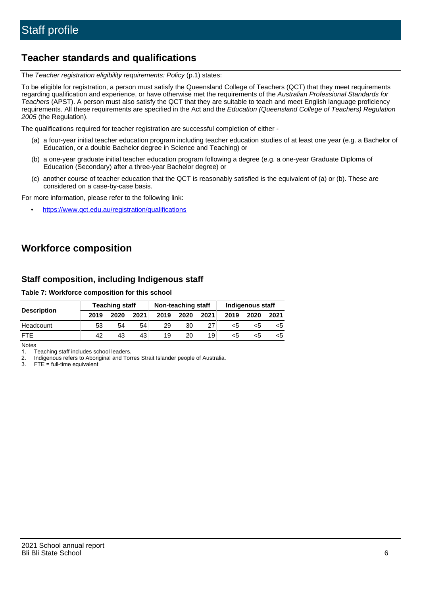# **Teacher standards and qualifications**

The Teacher registration eligibility requirements: Policy (p.1) states:

To be eligible for registration, a person must satisfy the Queensland College of Teachers (QCT) that they meet requirements regarding qualification and experience, or have otherwise met the requirements of the Australian Professional Standards for Teachers (APST). A person must also satisfy the QCT that they are suitable to teach and meet English language proficiency requirements. All these requirements are specified in the Act and the Education (Queensland College of Teachers) Regulation 2005 (the Regulation).

The qualifications required for teacher registration are successful completion of either -

- (a) a four-year initial teacher education program including teacher education studies of at least one year (e.g. a Bachelor of Education, or a double Bachelor degree in Science and Teaching) or
- (b) a one-year graduate initial teacher education program following a degree (e.g. a one-year Graduate Diploma of Education (Secondary) after a three-year Bachelor degree) or
- (c) another course of teacher education that the QCT is reasonably satisfied is the equivalent of (a) or (b). These are considered on a case-by-case basis.

For more information, please refer to the following link:

• <https://www.qct.edu.au/registration/qualifications>

# **Workforce composition**

## **Staff composition, including Indigenous staff**

#### **Table 7: Workforce composition for this school**

|                    | <b>Teaching staff</b> |      |      | Non-teaching staff |      |      | Indigenous staff |      |      |
|--------------------|-----------------------|------|------|--------------------|------|------|------------------|------|------|
| <b>Description</b> | 2019                  | 2020 | 2021 | 2019               | 2020 | 2021 | 2019             | 2020 | 2021 |
| Headcount          | 53                    | 54   | 54   | 29                 | 30   |      | <5               | <5   |      |
| <b>FTF</b>         | 42                    | 43   | 43   | 19                 | 20   | 19   | <5               | ה>   |      |

Notes

1. Teaching staff includes school leaders.

2. Indigenous refers to Aboriginal and Torres Strait Islander people of Australia.

3. FTE = full-time equivalent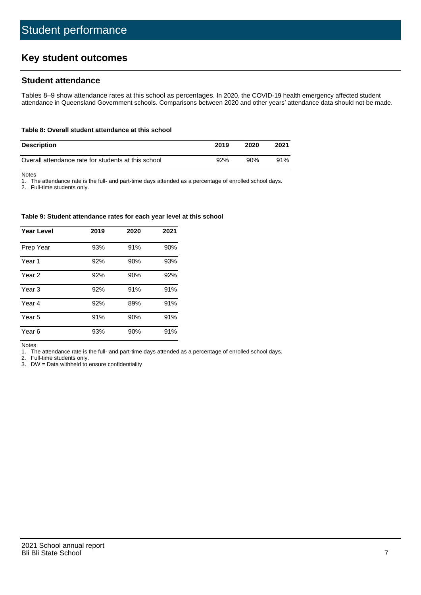# **Key student outcomes**

## **Student attendance**

Tables 8–9 show attendance rates at this school as percentages. In 2020, the COVID-19 health emergency affected student attendance in Queensland Government schools. Comparisons between 2020 and other years' attendance data should not be made.

#### **Table 8: Overall student attendance at this school**

| <b>Description</b>                                  | 2019 | 2020 | 2021 |
|-----------------------------------------------------|------|------|------|
| Overall attendance rate for students at this school | 92%  | 90%  | 91%  |

Notes

1. The attendance rate is the full- and part-time days attended as a percentage of enrolled school days.

2. Full-time students only.

#### **Table 9: Student attendance rates for each year level at this school**

| <b>Year Level</b> | 2019 | 2020 | 2021 |
|-------------------|------|------|------|
| Prep Year         | 93%  | 91%  | 90%  |
| Year <sub>1</sub> | 92%  | 90%  | 93%  |
| Year 2            | 92%  | 90%  | 92%  |
| Year <sub>3</sub> | 92%  | 91%  | 91%  |
| Year 4            | 92%  | 89%  | 91%  |
| Year 5            | 91%  | 90%  | 91%  |
| Year <sub>6</sub> | 93%  | 90%  | 91%  |

Notes

1. The attendance rate is the full- and part-time days attended as a percentage of enrolled school days.

2. Full-time students only.

3. DW = Data withheld to ensure confidentiality